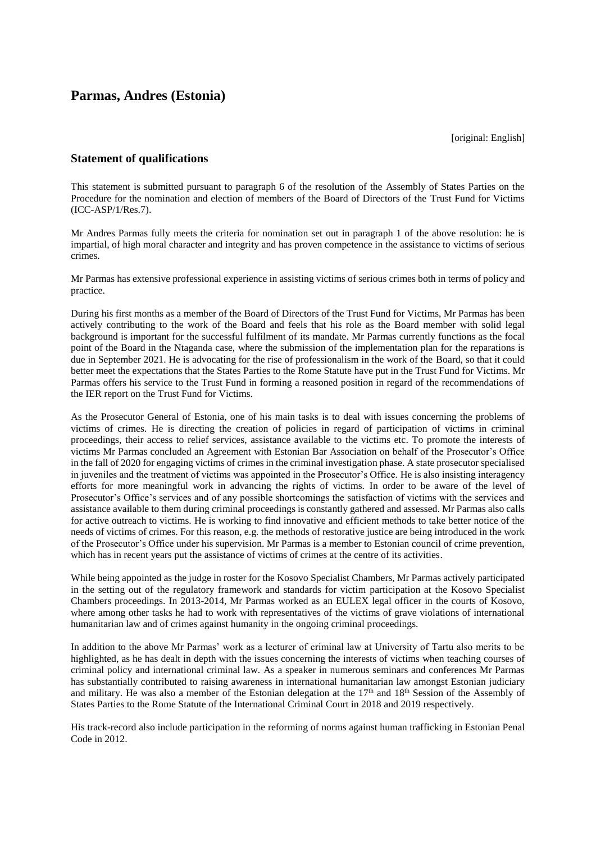## **Parmas, Andres (Estonia)**

[original: English]

## **Statement of qualifications**

This statement is submitted pursuant to paragraph 6 of the resolution of the Assembly of States Parties on the Procedure for the nomination and election of members of the Board of Directors of the Trust Fund for Victims (ICC-ASP/1/Res.7).

Mr Andres Parmas fully meets the criteria for nomination set out in paragraph 1 of the above resolution: he is impartial, of high moral character and integrity and has proven competence in the assistance to victims of serious crimes.

Mr Parmas has extensive professional experience in assisting victims of serious crimes both in terms of policy and practice.

During his first months as a member of the Board of Directors of the Trust Fund for Victims, Mr Parmas has been actively contributing to the work of the Board and feels that his role as the Board member with solid legal background is important for the successful fulfilment of its mandate. Mr Parmas currently functions as the focal point of the Board in the Ntaganda case, where the submission of the implementation plan for the reparations is due in September 2021. He is advocating for the rise of professionalism in the work of the Board, so that it could better meet the expectations that the States Parties to the Rome Statute have put in the Trust Fund for Victims. Mr Parmas offers his service to the Trust Fund in forming a reasoned position in regard of the recommendations of the IER report on the Trust Fund for Victims.

As the Prosecutor General of Estonia, one of his main tasks is to deal with issues concerning the problems of victims of crimes. He is directing the creation of policies in regard of participation of victims in criminal proceedings, their access to relief services, assistance available to the victims etc. To promote the interests of victims Mr Parmas concluded an Agreement with Estonian Bar Association on behalf of the Prosecutor's Office in the fall of 2020 for engaging victims of crimes in the criminal investigation phase. A state prosecutor specialised in juveniles and the treatment of victims was appointed in the Prosecutor's Office. He is also insisting interagency efforts for more meaningful work in advancing the rights of victims. In order to be aware of the level of Prosecutor's Office's services and of any possible shortcomings the satisfaction of victims with the services and assistance available to them during criminal proceedings is constantly gathered and assessed. Mr Parmas also calls for active outreach to victims. He is working to find innovative and efficient methods to take better notice of the needs of victims of crimes. For this reason, e.g*.* the methods of restorative justice are being introduced in the work of the Prosecutor's Office under his supervision. Mr Parmas is a member to Estonian council of crime prevention, which has in recent years put the assistance of victims of crimes at the centre of its activities.

While being appointed as the judge in roster for the Kosovo Specialist Chambers, Mr Parmas actively participated in the setting out of the regulatory framework and standards for victim participation at the Kosovo Specialist Chambers proceedings. In 2013-2014, Mr Parmas worked as an EULEX legal officer in the courts of Kosovo, where among other tasks he had to work with representatives of the victims of grave violations of international humanitarian law and of crimes against humanity in the ongoing criminal proceedings.

In addition to the above Mr Parmas' work as a lecturer of criminal law at University of Tartu also merits to be highlighted, as he has dealt in depth with the issues concerning the interests of victims when teaching courses of criminal policy and international criminal law. As a speaker in numerous seminars and conferences Mr Parmas has substantially contributed to raising awareness in international humanitarian law amongst Estonian judiciary and military. He was also a member of the Estonian delegation at the  $17<sup>th</sup>$  and  $18<sup>th</sup>$  Session of the Assembly of States Parties to the Rome Statute of the International Criminal Court in 2018 and 2019 respectively.

His track-record also include participation in the reforming of norms against human trafficking in Estonian Penal Code in 2012.